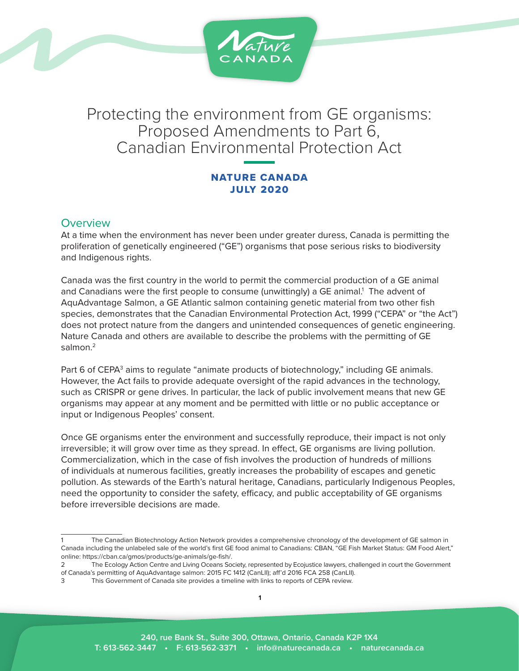

# Protecting the environment from GE organisms: Proposed Amendments to Part 6, Canadian Environmental Protection Act

# NATURE CANADA JULY 2020

# **Overview**

At a time when the environment has never been under greater duress, Canada is permitting the proliferation of genetically engineered ("GE") organisms that pose serious risks to biodiversity and Indigenous rights.

Canada was the first country in the world to permit the commercial production of a GE animal and Canadians were the first people to consume (unwittingly) a GE animal.<sup>1</sup> The advent of AquAdvantage Salmon, a GE Atlantic salmon containing genetic material from two other fish species, demonstrates that the Canadian Environmental Protection Act, 1999 ("CEPA" or "the Act") does not protect nature from the dangers and unintended consequences of genetic engineering. Nature Canada and others are available to describe the problems with the permitting of GE salmon $^2$ 

Part 6 of CEPA<sup>3</sup> aims to regulate "animate products of biotechnology," including GE animals. However, the Act fails to provide adequate oversight of the rapid advances in the technology, such as CRISPR or gene drives. In particular, the lack of public involvement means that new GE organisms may appear at any moment and be permitted with little or no public acceptance or input or Indigenous Peoples' consent.

Once GE organisms enter the environment and successfully reproduce, their impact is not only irreversible; it will grow over time as they spread. In effect, GE organisms are living pollution. Commercialization, which in the case of fish involves the production of hundreds of millions of individuals at numerous facilities, greatly increases the probability of escapes and genetic pollution. As stewards of the Earth's natural heritage, Canadians, particularly Indigenous Peoples, need the opportunity to consider the safety, efficacy, and public acceptability of GE organisms before irreversible decisions are made.

The Canadian Biotechnology Action Network provides a comprehensive chronology of the development of GE salmon in Canada including the unlabeled sale of the world's first GE food animal to Canadians: CBAN, "GE Fish Market Status: GM Food Alert," online: https://cban.ca/gmos/products/ge-animals/ge-fish/.

<sup>2</sup> The Ecology Action Centre and Living Oceans Society, represented by Ecojustice lawyers, challenged in court the Government of Canada's permitting of AquAdvantage salmon: 2015 FC 1412 (CanLII); aff'd 2016 FCA 258 (CanLII).

<sup>3</sup> This Government of Canada site provides a timeline with links to reports of CEPA review.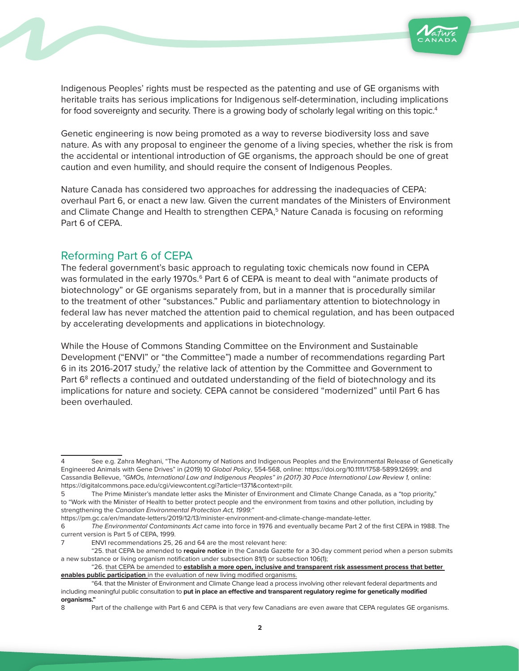

Indigenous Peoples' rights must be respected as the patenting and use of GE organisms with heritable traits has serious implications for Indigenous self-determination, including implications for food sovereignty and security. There is a growing body of scholarly legal writing on this topic.<sup>4</sup>

Genetic engineering is now being promoted as a way to reverse biodiversity loss and save nature. As with any proposal to engineer the genome of a living species, whether the risk is from the accidental or intentional introduction of GE organisms, the approach should be one of great caution and even humility, and should require the consent of Indigenous Peoples.

Nature Canada has considered two approaches for addressing the inadequacies of CEPA: overhaul Part 6, or enact a new law. Given the current mandates of the Ministers of Environment and Climate Change and Health to strengthen CEPA,<sup>5</sup> Nature Canada is focusing on reforming Part 6 of CEPA.

# Reforming Part 6 of CEPA

The federal government's basic approach to regulating toxic chemicals now found in CEPA was formulated in the early 1970s.<sup>6</sup> Part 6 of CEPA is meant to deal with "animate products of biotechnology" or GE organisms separately from, but in a manner that is procedurally similar to the treatment of other "substances." Public and parliamentary attention to biotechnology in federal law has never matched the attention paid to chemical regulation, and has been outpaced by accelerating developments and applications in biotechnology.

While the House of Commons Standing Committee on the Environment and Sustainable Development ("ENVI" or "the Committee") made a number of recommendations regarding Part 6 in its 2016-2017 study,<sup>7</sup> the relative lack of attention by the Committee and Government to Part 6<sup>8</sup> reflects a continued and outdated understanding of the field of biotechnology and its implications for nature and society. CEPA cannot be considered "modernized" until Part 6 has been overhauled.

See e.g. Zahra Meghani, "The Autonomy of Nations and Indigenous Peoples and the Environmental Release of Genetically Engineered Animals with Gene Drives" in (2019) 10 *Global Policy*, 554-568, online: https://doi.org/10.1111/1758-5899.12699; and Cassandia Bellevue, *"GMOs, International Law and Indigenous Peoples" in (2017) 30 Pace International Law Review 1,* online: https://digitalcommons.pace.edu/cgi/viewcontent.cgi?article=1371&context=pilr.

<sup>5</sup> The Prime Minister's mandate letter asks the Minister of Environment and Climate Change Canada, as a "top priority," to "Work with the Minister of Health to better protect people and the environment from toxins and other pollution, including by strengthening the *Canadian Environmental Protection Act, 1999:*"

https://pm.gc.ca/en/mandate-letters/2019/12/13/minister-environment-and-climate-change-mandate-letter.

<sup>6</sup> *The Environmental Contaminants Act* came into force in 1976 and eventually became Part 2 of the first CEPA in 1988. The current version is Part 5 of CEPA, 1999.

<sup>7</sup> ENVI recommendations 25, 26 and 64 are the most relevant here:

<sup>&</sup>quot;25. that CEPA be amended to **require notice** in the Canada Gazette for a 30-day comment period when a person submits a new substance or living organism notification under subsection 81(1) or subsection 106(1);

<sup>&</sup>quot;26. that CEPA be amended to **establish a more open, inclusive and transparent risk assessment process that better enables public participation** in the evaluation of new living modified organisms.

<sup>&</sup>quot;64. that the Minister of Environment and Climate Change lead a process involving other relevant federal departments and including meaningful public consultation to **put in place an effective and transparent regulatory regime for genetically modified organisms."**

<sup>8</sup> Part of the challenge with Part 6 and CEPA is that very few Canadians are even aware that CEPA regulates GE organisms.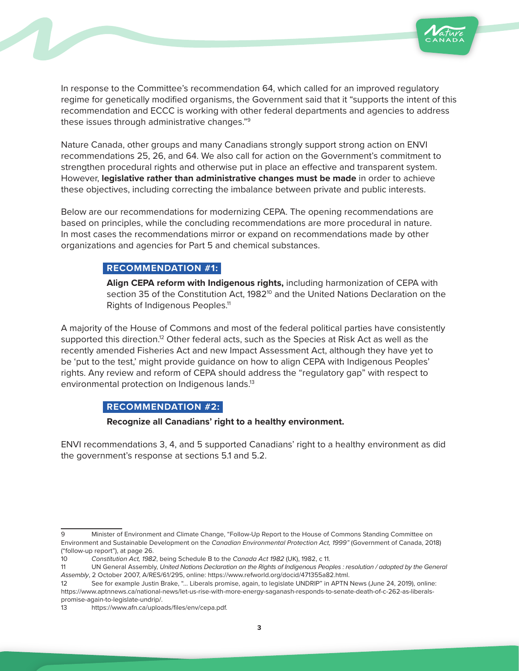



In response to the Committee's recommendation 64, which called for an improved regulatory regime for genetically modified organisms, the Government said that it "supports the intent of this recommendation and ECCC is working with other federal departments and agencies to address these issues through administrative changes."9

Nature Canada, other groups and many Canadians strongly support strong action on ENVI recommendations 25, 26, and 64. We also call for action on the Government's commitment to strengthen procedural rights and otherwise put in place an effective and transparent system. However, **legislative rather than administrative changes must be made** in order to achieve these objectives, including correcting the imbalance between private and public interests.

Below are our recommendations for modernizing CEPA. The opening recommendations are based on principles, while the concluding recommendations are more procedural in nature. In most cases the recommendations mirror or expand on recommendations made by other organizations and agencies for Part 5 and chemical substances.

## **RECOMMENDATION #1:**

**Align CEPA reform with Indigenous rights,** including harmonization of CEPA with section 35 of the Constitution Act, 1982<sup>10</sup> and the United Nations Declaration on the Rights of Indigenous Peoples.<sup>11</sup>

A majority of the House of Commons and most of the federal political parties have consistently supported this direction.<sup>12</sup> Other federal acts, such as the Species at Risk Act as well as the recently amended Fisheries Act and new Impact Assessment Act, although they have yet to be 'put to the test,' might provide guidance on how to align CEPA with Indigenous Peoples' rights. Any review and reform of CEPA should address the "regulatory gap" with respect to environmental protection on Indigenous lands.<sup>13</sup>

## **RECOMMENDATION #2:**

#### **Recognize all Canadians' right to a healthy environment.**

ENVI recommendations 3, 4, and 5 supported Canadians' right to a healthy environment as did the government's response at sections 5.1 and 5.2.

<sup>9</sup> Minister of Environment and Climate Change, "Follow-Up Report to the House of Commons Standing Committee on Environment and Sustainable Development on the *Canadian Environmental Protection Act, 1999"* (Government of Canada, 2018) ("follow-up report"), at page 26.

<sup>10</sup> *Constitution Act, 1982*, being Schedule B to the *Canada Act 1982* (UK), 1982, c 11.

<sup>11</sup> UN General Assembly, *United Nations Declaration on the Rights of Indigenous Peoples : resolution / adopted by the General Assembly*, 2 October 2007, A/RES/61/295, online: https://www.refworld.org/docid/471355a82.html.

<sup>12</sup> See for example Justin Brake, "... Liberals promise, again, to legislate UNDRIP" in APTN News (June 24, 2019), online: https://www.aptnnews.ca/national-news/let-us-rise-with-more-energy-saganash-responds-to-senate-death-of-c-262-as-liberalspromise-again-to-legislate-undrip/.

<sup>13</sup> https://www.afn.ca/uploads/files/env/cepa.pdf.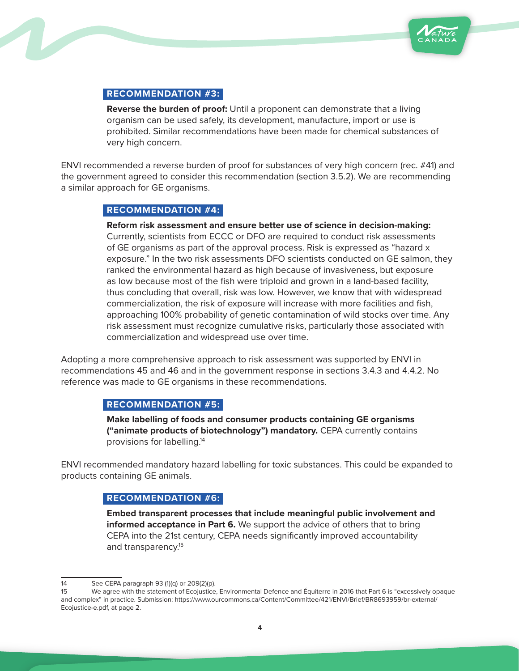

## **RECOMMENDATION #3:**

**Reverse the burden of proof:** Until a proponent can demonstrate that a living organism can be used safely, its development, manufacture, import or use is prohibited. Similar recommendations have been made for chemical substances of very high concern.

ENVI recommended a reverse burden of proof for substances of very high concern (rec. #41) and the government agreed to consider this recommendation (section 3.5.2). We are recommending a similar approach for GE organisms.

#### **RECOMMENDATION #4:**

**Reform risk assessment and ensure better use of science in decision-making:**  Currently, scientists from ECCC or DFO are required to conduct risk assessments of GE organisms as part of the approval process. Risk is expressed as "hazard x exposure." In the two risk assessments DFO scientists conducted on GE salmon, they ranked the environmental hazard as high because of invasiveness, but exposure as low because most of the fish were triploid and grown in a land-based facility, thus concluding that overall, risk was low. However, we know that with widespread commercialization, the risk of exposure will increase with more facilities and fish, approaching 100% probability of genetic contamination of wild stocks over time. Any risk assessment must recognize cumulative risks, particularly those associated with commercialization and widespread use over time.

Adopting a more comprehensive approach to risk assessment was supported by ENVI in recommendations 45 and 46 and in the government response in sections 3.4.3 and 4.4.2. No reference was made to GE organisms in these recommendations.

#### **RECOMMENDATION #5:**

**Make labelling of foods and consumer products containing GE organisms ("animate products of biotechnology") mandatory.** CEPA currently contains provisions for labelling.14

ENVI recommended mandatory hazard labelling for toxic substances. This could be expanded to products containing GE animals.

## **RECOMMENDATION #6:**

**Embed transparent processes that include meaningful public involvement and informed acceptance in Part 6.** We support the advice of others that to bring CEPA into the 21st century, CEPA needs significantly improved accountability and transparency.<sup>15</sup>

<sup>14</sup> See CEPA paragraph 93 (1)(q) or 209(2)(p).

<sup>15</sup> We agree with the statement of Ecojustice, Environmental Defence and Équiterre in 2016 that Part 6 is "excessively opaque and complex" in practice. Submission: https://www.ourcommons.ca/Content/Committee/421/ENVI/Brief/BR8693959/br-external/ Ecojustice-e.pdf, at page 2.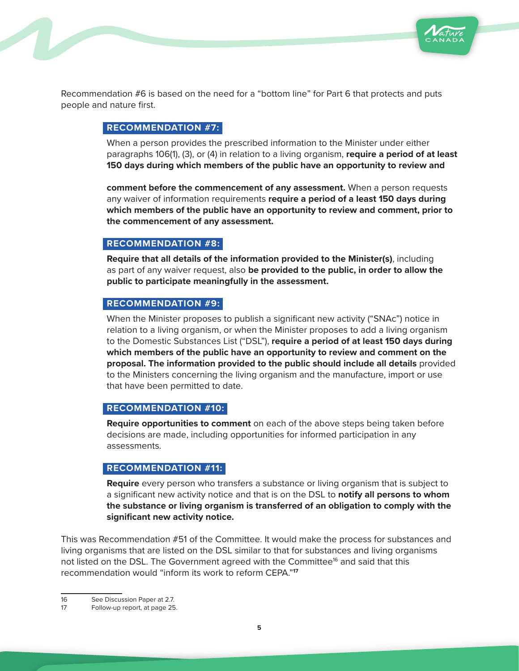

Recommendation #6 is based on the need for a "bottom line" for Part 6 that protects and puts people and nature first.

## **RECOMMENDATION #7:**

When a person provides the prescribed information to the Minister under either paragraphs 106(1), (3), or (4) in relation to a living organism, **require a period of at least 150 days during which members of the public have an opportunity to review and**

**comment before the commencement of any assessment.** When a person requests any waiver of information requirements **require a period of a least 150 days during which members of the public have an opportunity to review and comment, prior to the commencement of any assessment.** 

#### **RECOMMENDATION #8:**

**Require that all details of the information provided to the Minister(s)**, including as part of any waiver request, also **be provided to the public, in order to allow the public to participate meaningfully in the assessment.** 

## **RECOMMENDATION #9:**

When the Minister proposes to publish a significant new activity ("SNAc") notice in relation to a living organism, or when the Minister proposes to add a living organism to the Domestic Substances List ("DSL"), **require a period of at least 150 days during which members of the public have an opportunity to review and comment on the proposal. The information provided to the public should include all details** provided to the Ministers concerning the living organism and the manufacture, import or use that have been permitted to date.

#### **RECOMMENDATION #10:**

**Require opportunities to comment** on each of the above steps being taken before decisions are made, including opportunities for informed participation in any assessments.

#### **RECOMMENDATION #11:**

**Require** every person who transfers a substance or living organism that is subject to a significant new activity notice and that is on the DSL to **notify all persons to whom the substance or living organism is transferred of an obligation to comply with the significant new activity notice.**

This was Recommendation #51 of the Committee. It would make the process for substances and living organisms that are listed on the DSL similar to that for substances and living organisms not listed on the DSL. The Government agreed with the Committee<sup>16</sup> and said that this recommendation would "inform its work to reform CEPA."**<sup>17</sup>**

16 See Discussion Paper at 2.7.

<sup>17</sup> Follow-up report, at page 25.